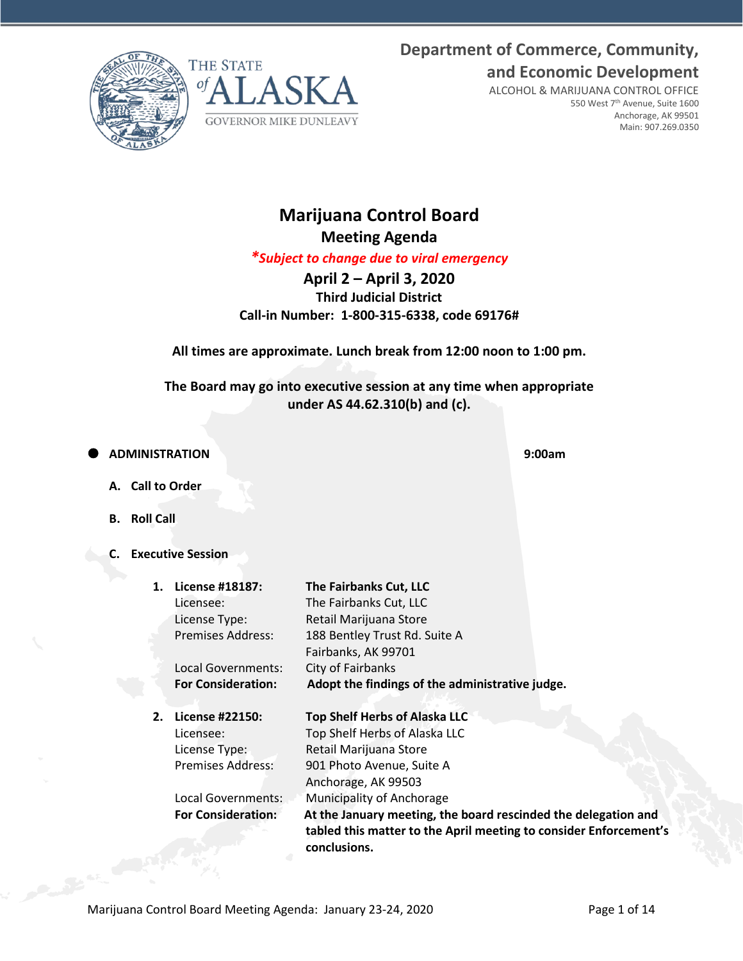**Department of Commerce, Community, and Economic Development**





ALCOHOL & MARIJUANA CONTROL OFFICE 550 West 7th Avenue, Suite 1600 Anchorage, AK 99501 Main: 907.269.0350

# **Marijuana Control Board Meeting Agenda**

*\*Subject to change due to viral emergency*

**April 2 – April 3, 2020 Third Judicial District Call-in Number: 1-800-315-6338, code 69176#**

**All times are approximate. Lunch break from 12:00 noon to 1:00 pm.**

**The Board may go into executive session at any time when appropriate under AS 44.62.310(b) and (c).**

**ADMINISTRATION 9:00am**

- **A. Call to Order**
- **B. Roll Call**
- **C. Executive Session**

| $\mathbf 1$ . | License #18187:           | The Fairbanks Cut, LLC                                                                                                                              |
|---------------|---------------------------|-----------------------------------------------------------------------------------------------------------------------------------------------------|
|               | Licensee:                 | The Fairbanks Cut, LLC                                                                                                                              |
|               | License Type:             | Retail Marijuana Store                                                                                                                              |
|               | <b>Premises Address:</b>  | 188 Bentley Trust Rd. Suite A                                                                                                                       |
|               |                           | Fairbanks, AK 99701                                                                                                                                 |
|               | Local Governments:        | City of Fairbanks                                                                                                                                   |
|               | <b>For Consideration:</b> | Adopt the findings of the administrative judge.                                                                                                     |
|               |                           |                                                                                                                                                     |
| 2.            | License #22150:           | <b>Top Shelf Herbs of Alaska LLC</b>                                                                                                                |
|               | Licensee:                 | Top Shelf Herbs of Alaska LLC                                                                                                                       |
|               | License Type:             | Retail Marijuana Store                                                                                                                              |
|               | <b>Premises Address:</b>  | 901 Photo Avenue, Suite A                                                                                                                           |
|               |                           | Anchorage, AK 99503                                                                                                                                 |
|               | Local Governments:        | Municipality of Anchorage                                                                                                                           |
|               | <b>For Consideration:</b> | At the January meeting, the board rescinded the delegation and<br>tabled this matter to the April meeting to consider Enforcement's<br>conclusions. |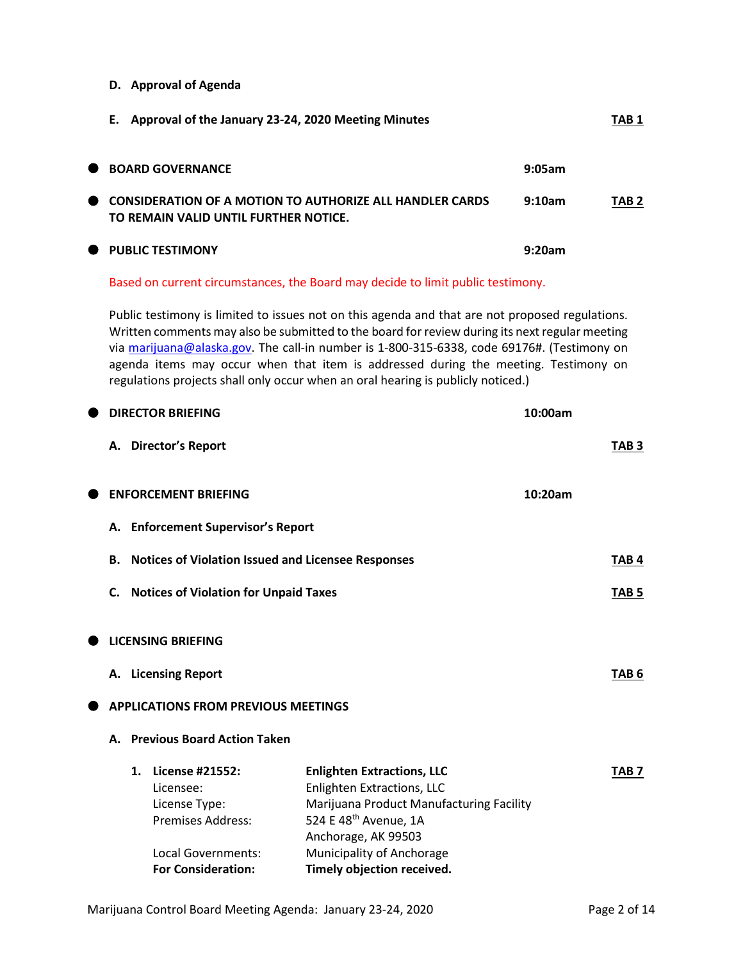**D. Approval of Agenda**

|           | E. Approval of the January 23-24, 2020 Meeting Minutes                                                   |        | TAB <sub>1</sub> |
|-----------|----------------------------------------------------------------------------------------------------------|--------|------------------|
|           | ● BOARD GOVERNANCE                                                                                       | 9:05am |                  |
| $\bullet$ | <b>CONSIDERATION OF A MOTION TO AUTHORIZE ALL HANDLER CARDS</b><br>TO REMAIN VALID UNTIL FURTHER NOTICE. | 9:10am | TAB <sub>2</sub> |
|           | <b>THE PUBLIC TESTIMONY</b>                                                                              | 9:20am |                  |

Based on current circumstances, the Board may decide to limit public testimony.

Public testimony is limited to issues not on this agenda and that are not proposed regulations. Written comments may also be submitted to the board for review during its next regular meeting via [marijuana@alaska.gov.](mailto:marijuana@alaska.gov) The call-in number is 1-800-315-6338, code 69176#. (Testimony on agenda items may occur when that item is addressed during the meeting. Testimony on regulations projects shall only occur when an oral hearing is publicly noticed.)

|    |                | <b>DIRECTOR BRIEFING</b>                                                                               |                                                                                                                                                                                                 | 10:00am |                  |
|----|----------------|--------------------------------------------------------------------------------------------------------|-------------------------------------------------------------------------------------------------------------------------------------------------------------------------------------------------|---------|------------------|
|    |                | A. Director's Report                                                                                   |                                                                                                                                                                                                 |         | TAB <sub>3</sub> |
|    |                | <b>ENFORCEMENT BRIEFING</b>                                                                            |                                                                                                                                                                                                 | 10:20am |                  |
|    |                | A. Enforcement Supervisor's Report                                                                     |                                                                                                                                                                                                 |         |                  |
| В. |                | <b>Notices of Violation Issued and Licensee Responses</b>                                              |                                                                                                                                                                                                 |         | TAB <sub>4</sub> |
|    |                | C. Notices of Violation for Unpaid Taxes                                                               |                                                                                                                                                                                                 |         | TAB <sub>5</sub> |
|    |                | <b>LICENSING BRIEFING</b>                                                                              |                                                                                                                                                                                                 |         |                  |
|    |                | A. Licensing Report                                                                                    |                                                                                                                                                                                                 |         | TAB <sub>6</sub> |
|    |                | <b>APPLICATIONS FROM PREVIOUS MEETINGS</b>                                                             |                                                                                                                                                                                                 |         |                  |
| А. |                | <b>Previous Board Action Taken</b>                                                                     |                                                                                                                                                                                                 |         |                  |
|    | $\mathbf{1}$ . | <b>License #21552:</b><br>Licensee:<br>License Type:<br><b>Premises Address:</b><br>Local Governments: | <b>Enlighten Extractions, LLC</b><br><b>Enlighten Extractions, LLC</b><br>Marijuana Product Manufacturing Facility<br>524 E 48th Avenue, 1A<br>Anchorage, AK 99503<br>Municipality of Anchorage |         | TAB <sub>7</sub> |
|    |                | <b>For Consideration:</b>                                                                              | Timely objection received.                                                                                                                                                                      |         |                  |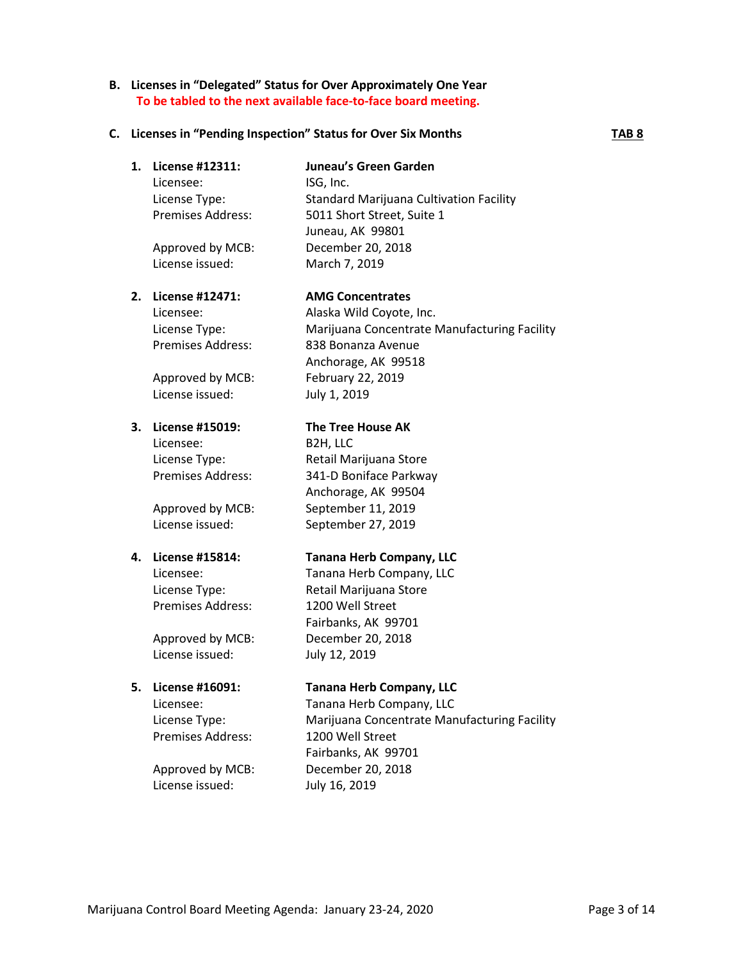### **C. Licenses in "Pending Inspection" Status for Over Six Months TAB 8**

### **1. License #12311: Juneau's Green Garden**

Licensee: ISG, Inc. License Type: Standard Marijuana Cultivation Facility Premises Address: 5011 Short Street, Suite 1 Juneau, AK 99801 Approved by MCB: December 20, 2018 License issued: March 7, 2019

# **2. License #12471: AMG Concentrates**

Approved by MCB: February 22, 2019 License issued: July 1, 2019

Licensee: B2H, LLC

Premises Address: 1200 Well Street

License issued: July 12, 2019

Premises Address: 1200 Well Street

Licensee: Tanana Herb Company, LLC License Type: Marijuana Concentrate Manufacturing Facility Fairbanks, AK 99701 Approved by MCB: December 20, 2018

License issued: July 16, 2019

Licensee: Alaska Wild Coyote, Inc. License Type: Marijuana Concentrate Manufacturing Facility Premises Address: 838 Bonanza Avenue Anchorage, AK 99518

## **3. License #15019: The Tree House AK**

License Type: Retail Marijuana Store Premises Address: 341-D Boniface Parkway Anchorage, AK 99504 Approved by MCB: September 11, 2019 License issued: September 27, 2019

### **4. License #15814: Tanana Herb Company, LLC**

Licensee: Tanana Herb Company, LLC License Type: Retail Marijuana Store Fairbanks, AK 99701 Approved by MCB: December 20, 2018

# **5. License #16091: Tanana Herb Company, LLC**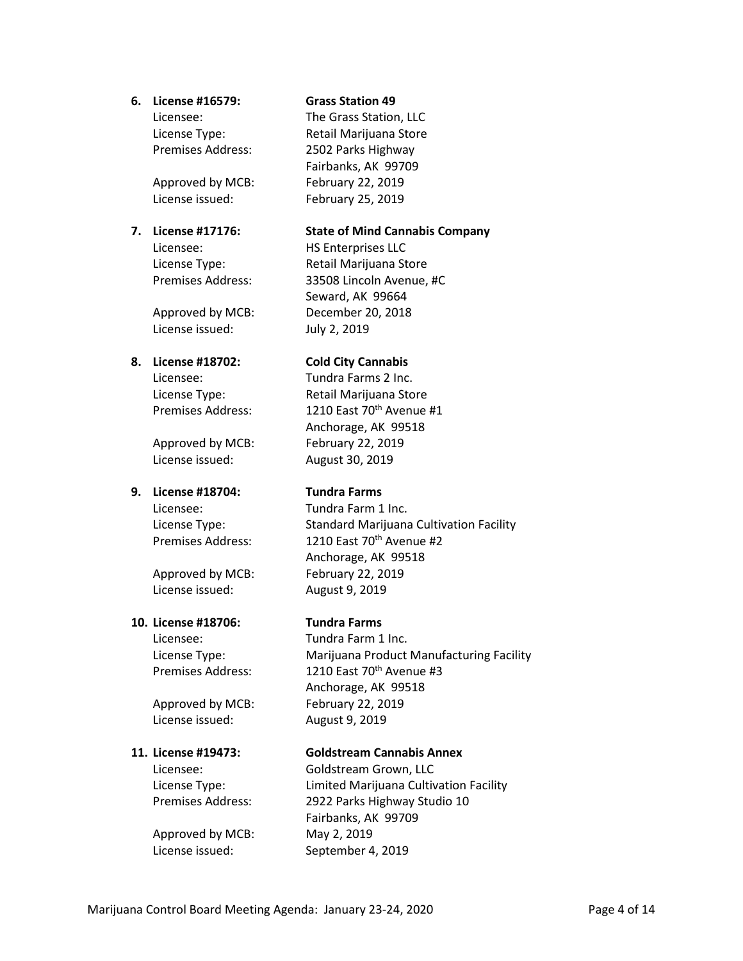### **6. License #16579: Grass Station 49**

License issued: July 2, 2019

#### **8. License #18702: Cold City Cannabis**

Approved by MCB: February 22, 2019 License issued: August 30, 2019

### **9. License #18704: Tundra Farms**

Licensee: Tundra Farm 1 Inc.

Approved by MCB: February 22, 2019 License issued: August 9, 2019

### **10. License #18706: Tundra Farms**

Approved by MCB: February 22, 2019 License issued: August 9, 2019

Approved by MCB: May 2, 2019 License issued: September 4, 2019

Licensee: The Grass Station, LLC License Type: Retail Marijuana Store Premises Address: 2502 Parks Highway Fairbanks, AK 99709 Approved by MCB: February 22, 2019 License issued: February 25, 2019

### **7. License #17176: State of Mind Cannabis Company**

Licensee: HS Enterprises LLC License Type: Retail Marijuana Store Premises Address: 33508 Lincoln Avenue, #C Seward, AK 99664 Approved by MCB: December 20, 2018

Licensee: Tundra Farms 2 Inc. License Type: Retail Marijuana Store Premises Address: 1210 East 70<sup>th</sup> Avenue #1 Anchorage, AK 99518

License Type: Standard Marijuana Cultivation Facility Premises Address: 1210 East 70<sup>th</sup> Avenue #2 Anchorage, AK 99518

Licensee: Tundra Farm 1 Inc. License Type: Marijuana Product Manufacturing Facility Premises Address: 1210 East 70<sup>th</sup> Avenue #3 Anchorage, AK 99518

### **11. License #19473: Goldstream Cannabis Annex**

Licensee: Goldstream Grown, LLC License Type: Limited Marijuana Cultivation Facility Premises Address: 2922 Parks Highway Studio 10 Fairbanks, AK 99709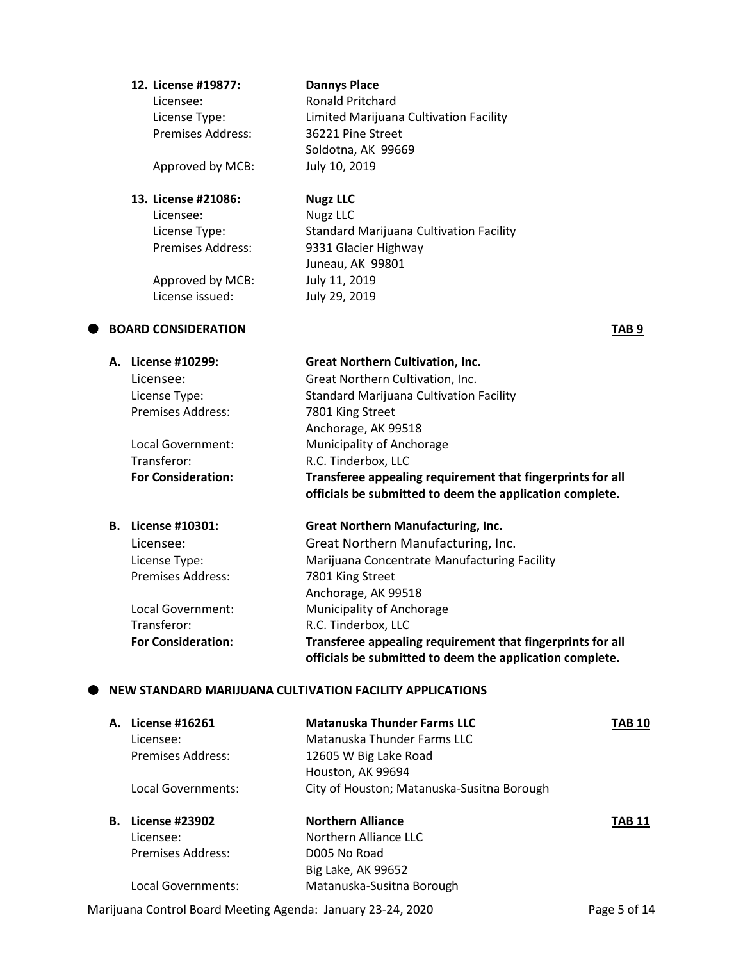# **12. License #19877: Dannys Place** Licensee: Ronald Pritchard License Type: Limited Marijuana Cultivation Facility Premises Address: 36221 Pine Street Soldotna, AK 99669 Approved by MCB: July 10, 2019 **13. License #21086: Nugz LLC**

Licensee: Nugz LLC

License Type: Standard Marijuana Cultivation Facility Premises Address: 9331 Glacier Highway Juneau, AK 99801 Approved by MCB: July 11, 2019 License issued: July 29, 2019

# **BOARD CONSIDERATION TAB 9**

|    | A. License #10299:        | <b>Great Northern Cultivation, Inc.</b>                                                                                |
|----|---------------------------|------------------------------------------------------------------------------------------------------------------------|
|    | Licensee:                 | Great Northern Cultivation, Inc.                                                                                       |
|    | License Type:             | Standard Marijuana Cultivation Facility                                                                                |
|    | <b>Premises Address:</b>  | 7801 King Street                                                                                                       |
|    |                           | Anchorage, AK 99518                                                                                                    |
|    | Local Government:         | Municipality of Anchorage                                                                                              |
|    | Transferor:               | R.C. Tinderbox, LLC                                                                                                    |
|    | <b>For Consideration:</b> | Transferee appealing requirement that fingerprints for all<br>officials be submitted to deem the application complete. |
| В. | License #10301:           | <b>Great Northern Manufacturing, Inc.</b>                                                                              |
|    |                           |                                                                                                                        |

| . LICCIJC <i>II</i> 10901. | orcat ivortilerin ividiraractarılış, ilici                                                                             |
|----------------------------|------------------------------------------------------------------------------------------------------------------------|
| Licensee:                  | Great Northern Manufacturing, Inc.                                                                                     |
| License Type:              | Marijuana Concentrate Manufacturing Facility                                                                           |
| <b>Premises Address:</b>   | 7801 King Street                                                                                                       |
|                            | Anchorage, AK 99518                                                                                                    |
| Local Government:          | Municipality of Anchorage                                                                                              |
| Transferor:                | R.C. Tinderbox, LLC                                                                                                    |
| <b>For Consideration:</b>  | Transferee appealing requirement that fingerprints for all<br>officials be submitted to deem the application complete. |

## **NEW STANDARD MARIJUANA CULTIVATION FACILITY APPLICATIONS**

| А. | License #16261     | <b>Matanuska Thunder Farms LLC</b>         | TAB 10 |
|----|--------------------|--------------------------------------------|--------|
|    | Licensee:          | Matanuska Thunder Farms LLC                |        |
|    | Premises Address:  | 12605 W Big Lake Road                      |        |
|    |                    | Houston, AK 99694                          |        |
|    | Local Governments: | City of Houston; Matanuska-Susitna Borough |        |
| В. | License #23902     | <b>Northern Alliance</b>                   | TAB 11 |
|    | Licensee:          | Northern Alliance LLC                      |        |
|    | Premises Address:  | D005 No Road                               |        |
|    |                    | Big Lake, AK 99652                         |        |
|    | Local Governments: | Matanuska-Susitna Borough                  |        |

Marijuana Control Board Meeting Agenda: January 23-24, 2020 Page 5 of 14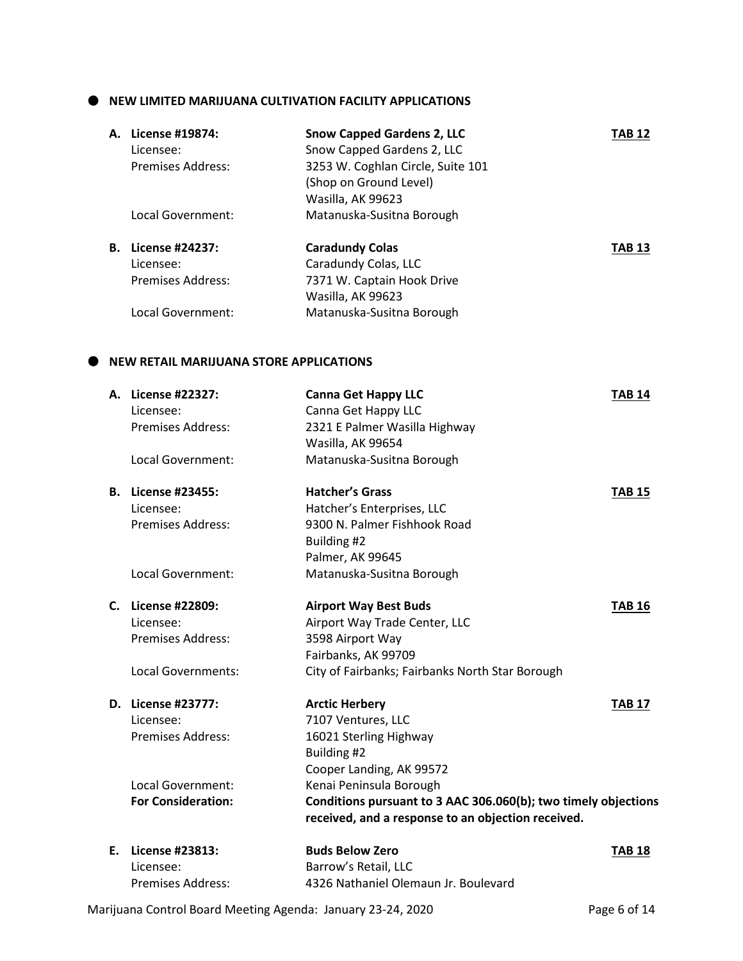### $\bullet$  NEW LIMITED MARIJUANA CULTIVATION FACILITY APPLICATIONS

|    | A. License #19874: | <b>Snow Capped Gardens 2, LLC</b> | TAB 12        |
|----|--------------------|-----------------------------------|---------------|
|    | Licensee:          | Snow Capped Gardens 2, LLC        |               |
|    | Premises Address:  | 3253 W. Coghlan Circle, Suite 101 |               |
|    |                    | (Shop on Ground Level)            |               |
|    |                    | Wasilla, AK 99623                 |               |
|    | Local Government:  | Matanuska-Susitna Borough         |               |
| В. | License #24237:    | <b>Caradundy Colas</b>            | <b>TAB 13</b> |
|    | Licensee:          | Caradundy Colas, LLC              |               |
|    | Premises Address:  | 7371 W. Captain Hook Drive        |               |
|    |                    | Wasilla, AK 99623                 |               |
|    | Local Government:  | Matanuska-Susitna Borough         |               |
|    |                    |                                   |               |

# **NEW RETAIL MARIJUANA STORE APPLICATIONS**

| А. | License #22327:           | <b>Canna Get Happy LLC</b>                                     | <b>TAB 14</b>           |
|----|---------------------------|----------------------------------------------------------------|-------------------------|
|    | Licensee:                 | Canna Get Happy LLC                                            |                         |
|    | <b>Premises Address:</b>  | 2321 E Palmer Wasilla Highway                                  |                         |
|    |                           | Wasilla, AK 99654                                              |                         |
|    | Local Government:         | Matanuska-Susitna Borough                                      |                         |
| В. | License #23455:           | <b>Hatcher's Grass</b>                                         | <b>TAB 15</b>           |
|    | Licensee:                 | Hatcher's Enterprises, LLC                                     |                         |
|    | <b>Premises Address:</b>  | 9300 N. Palmer Fishhook Road                                   |                         |
|    |                           | Building #2                                                    |                         |
|    |                           | Palmer, AK 99645                                               |                         |
|    | Local Government:         | Matanuska-Susitna Borough                                      |                         |
| C. | License #22809:           | <b>Airport Way Best Buds</b>                                   | <b>TAB 16</b>           |
|    | Licensee:                 | Airport Way Trade Center, LLC                                  |                         |
|    | <b>Premises Address:</b>  | 3598 Airport Way                                               |                         |
|    |                           | Fairbanks, AK 99709                                            |                         |
|    | Local Governments:        | City of Fairbanks; Fairbanks North Star Borough                |                         |
|    | D. License #23777:        | <b>Arctic Herbery</b>                                          | <b>TAB 17</b>           |
|    | Licensee:                 | 7107 Ventures, LLC                                             |                         |
|    | <b>Premises Address:</b>  | 16021 Sterling Highway                                         |                         |
|    |                           | Building #2                                                    |                         |
|    |                           | Cooper Landing, AK 99572                                       |                         |
|    | Local Government:         | Kenai Peninsula Borough                                        |                         |
|    | <b>For Consideration:</b> | Conditions pursuant to 3 AAC 306.060(b); two timely objections |                         |
|    |                           | received, and a response to an objection received.             |                         |
| E. | License #23813:           | <b>Buds Below Zero</b>                                         | <b>TAB<sub>18</sub></b> |
|    | Licensee:                 | Barrow's Retail, LLC                                           |                         |
|    | <b>Premises Address:</b>  | 4326 Nathaniel Olemaun Jr. Boulevard                           |                         |

Marijuana Control Board Meeting Agenda: January 23-24, 2020 Page 6 of 14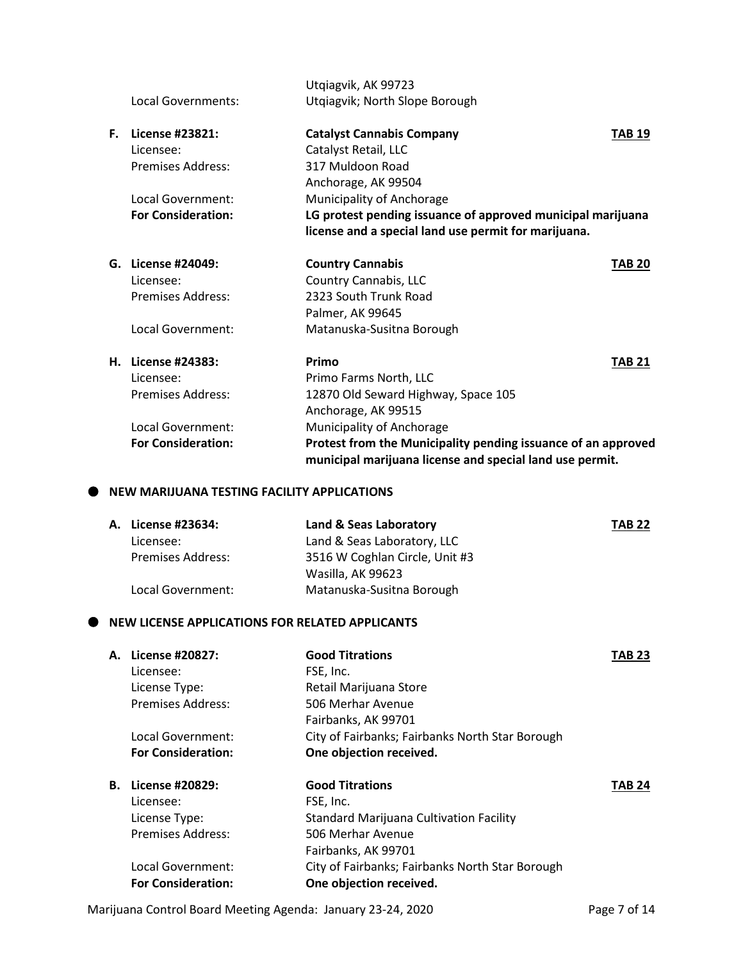|    |                                             | Utqiagvik, AK 99723                                                                                                       |               |
|----|---------------------------------------------|---------------------------------------------------------------------------------------------------------------------------|---------------|
|    | Local Governments:                          | Utqiagvik; North Slope Borough                                                                                            |               |
| F. | License #23821:                             | <b>Catalyst Cannabis Company</b>                                                                                          | <b>TAB 19</b> |
|    | Licensee:                                   | Catalyst Retail, LLC                                                                                                      |               |
|    | <b>Premises Address:</b>                    | 317 Muldoon Road                                                                                                          |               |
|    |                                             | Anchorage, AK 99504                                                                                                       |               |
|    | Local Government:                           | Municipality of Anchorage                                                                                                 |               |
|    | <b>For Consideration:</b>                   | LG protest pending issuance of approved municipal marijuana                                                               |               |
|    |                                             | license and a special land use permit for marijuana.                                                                      |               |
|    | G. License #24049:                          | <b>Country Cannabis</b>                                                                                                   | <b>TAB 20</b> |
|    | Licensee:                                   | Country Cannabis, LLC                                                                                                     |               |
|    | Premises Address:                           | 2323 South Trunk Road                                                                                                     |               |
|    |                                             | Palmer, AK 99645                                                                                                          |               |
|    | Local Government:                           | Matanuska-Susitna Borough                                                                                                 |               |
|    | H. License #24383:                          | Primo                                                                                                                     | <b>TAB 21</b> |
|    | Licensee:                                   | Primo Farms North, LLC                                                                                                    |               |
|    | <b>Premises Address:</b>                    | 12870 Old Seward Highway, Space 105                                                                                       |               |
|    |                                             | Anchorage, AK 99515                                                                                                       |               |
|    | Local Government:                           | Municipality of Anchorage                                                                                                 |               |
|    | <b>For Consideration:</b>                   | Protest from the Municipality pending issuance of an approved<br>municipal marijuana license and special land use permit. |               |
|    | NEW MARIJUANA TESTING FACILITY APPLICATIONS |                                                                                                                           |               |

| A. License #23634:       | Land & Seas Laboratory         | <b>TAB 22</b> |
|--------------------------|--------------------------------|---------------|
| Licensee:                | Land & Seas Laboratory, LLC    |               |
| <b>Premises Address:</b> | 3516 W Coghlan Circle, Unit #3 |               |
|                          | Wasilla, AK 99623              |               |
| Local Government:        | Matanuska-Susitna Borough      |               |
|                          |                                |               |

# $\bullet$  NEW LICENSE APPLICATIONS FOR RELATED APPLICANTS

| A. License #20827:        | <b>Good Titrations</b>                          | <b>TAB 23</b> |
|---------------------------|-------------------------------------------------|---------------|
| Licensee:                 | FSE, Inc.                                       |               |
| License Type:             | Retail Marijuana Store                          |               |
| <b>Premises Address:</b>  | 506 Merhar Avenue                               |               |
|                           | Fairbanks, AK 99701                             |               |
| Local Government:         | City of Fairbanks; Fairbanks North Star Borough |               |
| <b>For Consideration:</b> | One objection received.                         |               |
| <b>B.</b> License #20829: | <b>Good Titrations</b>                          | <b>TAB 24</b> |
| Licensee:                 | FSE, Inc.                                       |               |
| License Type:             | <b>Standard Marijuana Cultivation Facility</b>  |               |
| <b>Premises Address:</b>  | 506 Merhar Avenue                               |               |
|                           | Fairbanks, AK 99701                             |               |
| Local Government:         | City of Fairbanks; Fairbanks North Star Borough |               |
| <b>For Consideration:</b> | One objection received.                         |               |

Marijuana Control Board Meeting Agenda: January 23-24, 2020 Page 7 of 14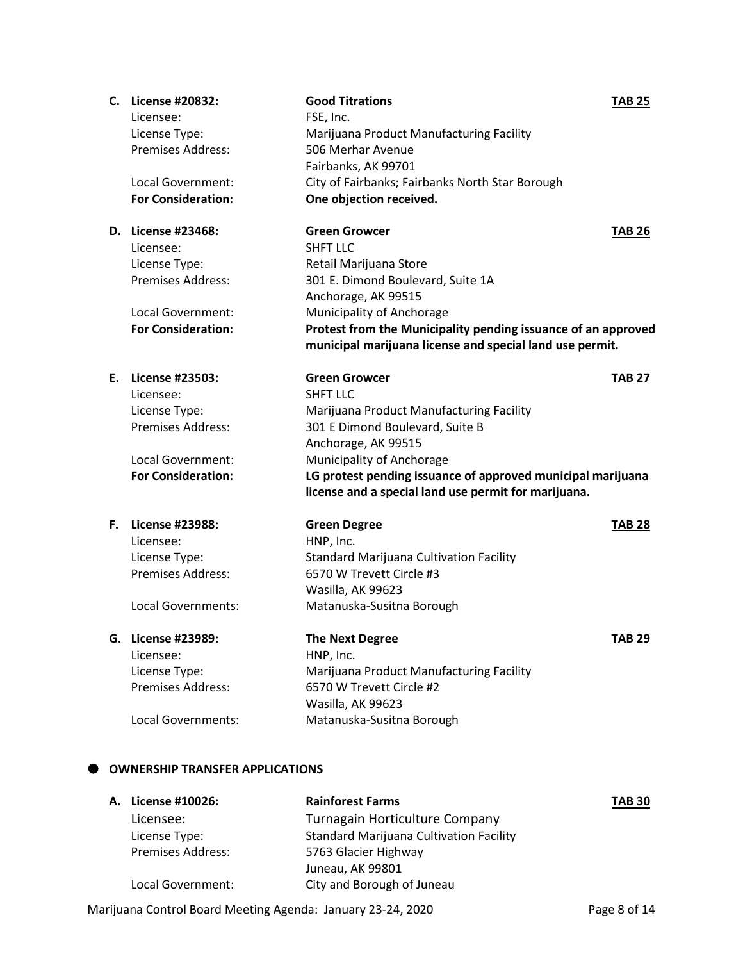|    | C. License #20832:        | <b>Good Titrations</b>                                        | <b>TAB 25</b> |
|----|---------------------------|---------------------------------------------------------------|---------------|
|    | Licensee:                 | FSE, Inc.                                                     |               |
|    | License Type:             | Marijuana Product Manufacturing Facility                      |               |
|    | Premises Address:         | 506 Merhar Avenue                                             |               |
|    |                           | Fairbanks, AK 99701                                           |               |
|    | Local Government:         | City of Fairbanks; Fairbanks North Star Borough               |               |
|    | <b>For Consideration:</b> | One objection received.                                       |               |
|    | D. License #23468:        | <b>Green Growcer</b>                                          | <b>TAB 26</b> |
|    | Licensee:                 | <b>SHFT LLC</b>                                               |               |
|    | License Type:             | Retail Marijuana Store                                        |               |
|    | <b>Premises Address:</b>  | 301 E. Dimond Boulevard, Suite 1A                             |               |
|    |                           | Anchorage, AK 99515                                           |               |
|    | Local Government:         | Municipality of Anchorage                                     |               |
|    | <b>For Consideration:</b> | Protest from the Municipality pending issuance of an approved |               |
|    |                           | municipal marijuana license and special land use permit.      |               |
|    | E. License #23503:        | <b>Green Growcer</b>                                          | <b>TAB 27</b> |
|    | Licensee:                 | <b>SHFT LLC</b>                                               |               |
|    | License Type:             | Marijuana Product Manufacturing Facility                      |               |
|    | Premises Address:         | 301 E Dimond Boulevard, Suite B                               |               |
|    |                           | Anchorage, AK 99515                                           |               |
|    | Local Government:         | Municipality of Anchorage                                     |               |
|    | <b>For Consideration:</b> | LG protest pending issuance of approved municipal marijuana   |               |
|    |                           | license and a special land use permit for marijuana.          |               |
| F. | License #23988:           | <b>Green Degree</b>                                           | <b>TAB 28</b> |
|    | Licensee:                 | HNP, Inc.                                                     |               |
|    | License Type:             | <b>Standard Marijuana Cultivation Facility</b>                |               |
|    | Premises Address:         | 6570 W Trevett Circle #3                                      |               |
|    |                           | Wasilla, AK 99623                                             |               |
|    | Local Governments:        | Matanuska-Susitna Borough                                     |               |
| G. | License #23989:           | <b>The Next Degree</b>                                        | TAB 29        |
|    | Licensee:                 | HNP, Inc.                                                     |               |
|    | License Type:             | Marijuana Product Manufacturing Facility                      |               |
|    | Premises Address:         | 6570 W Trevett Circle #2                                      |               |
|    |                           | Wasilla, AK 99623                                             |               |
|    | Local Governments:        | Matanuska-Susitna Borough                                     |               |

| License #10026:          | <b>Rainforest Farms</b>                        | <b>TAB 30</b> |
|--------------------------|------------------------------------------------|---------------|
| Licensee:                | Turnagain Horticulture Company                 |               |
| License Type:            | <b>Standard Marijuana Cultivation Facility</b> |               |
| <b>Premises Address:</b> | 5763 Glacier Highway                           |               |
|                          | Juneau, AK 99801                               |               |
| Local Government:        | City and Borough of Juneau                     |               |

Marijuana Control Board Meeting Agenda: January 23-24, 2020 Page 8 of 14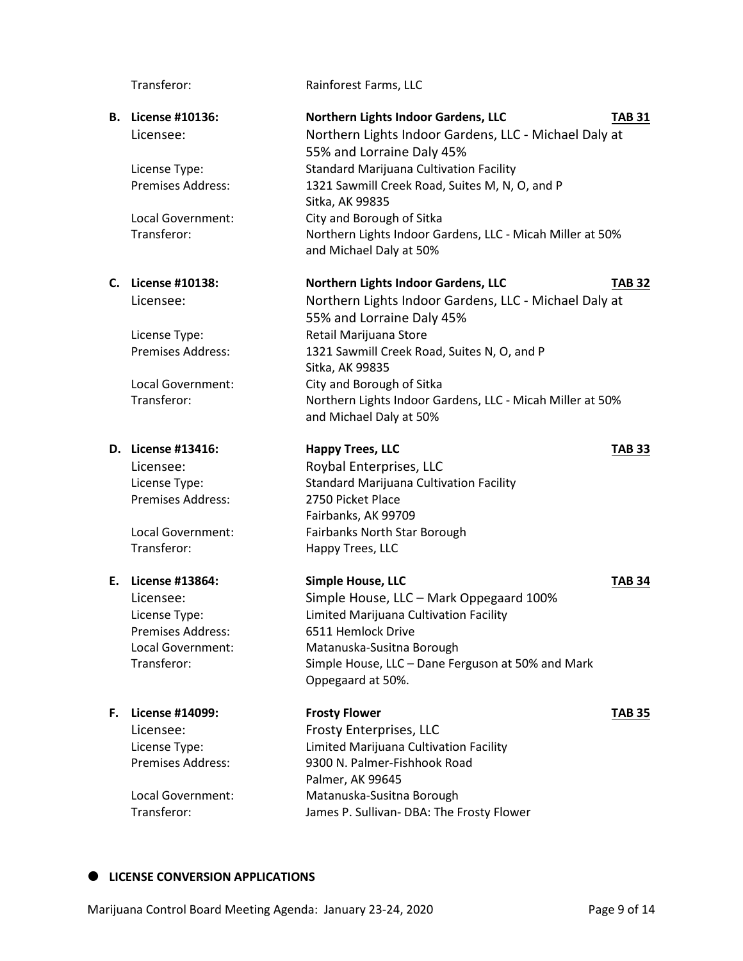### **D. License #13416: Happy Trees, LLC TAB 33**

Premises Address: 2750 Picket Place

Transferor: Happy Trees, LLC

### **F. License #14099: Frosty Flower TAB 35**

Transferor: Rainforest Farms, LLC

## **B. License #10136: Northern Lights Indoor Gardens, LLC TAB 31** Licensee: Northern Lights Indoor Gardens, LLC - Michael Daly at 55% and Lorraine Daly 45% License Type: Standard Marijuana Cultivation Facility Premises Address: 1321 Sawmill Creek Road, Suites M, N, O, and P Sitka, AK 99835

Local Government: City and Borough of Sitka Transferor: Northern Lights Indoor Gardens, LLC - Micah Miller at 50% and Michael Daly at 50%

#### **C. License #10138: Northern Lights Indoor Gardens, LLC TAB 32**

Licensee: Northern Lights Indoor Gardens, LLC - Michael Daly at 55% and Lorraine Daly 45% License Type: Retail Marijuana Store Premises Address: 1321 Sawmill Creek Road, Suites N, O, and P Sitka, AK 99835 Local Government: City and Borough of Sitka Transferor: Northern Lights Indoor Gardens, LLC - Micah Miller at 50% and Michael Daly at 50%

Licensee: Roybal Enterprises, LLC License Type: Standard Marijuana Cultivation Facility Fairbanks, AK 99709 Local Government: Fairbanks North Star Borough

**E. License #13864: Simple House, LLC TAB 34** Licensee: Simple House, LLC – Mark Oppegaard 100% License Type: Limited Marijuana Cultivation Facility Premises Address: 6511 Hemlock Drive Local Government: Matanuska-Susitna Borough Transferor: Simple House, LLC – Dane Ferguson at 50% and Mark Oppegaard at 50%.

Licensee: Frosty Enterprises, LLC License Type: Limited Marijuana Cultivation Facility Premises Address: 9300 N. Palmer-Fishhook Road Palmer, AK 99645 Local Government: Matanuska-Susitna Borough Transferor: James P. Sullivan- DBA: The Frosty Flower

**LICENSE CONVERSION APPLICATIONS**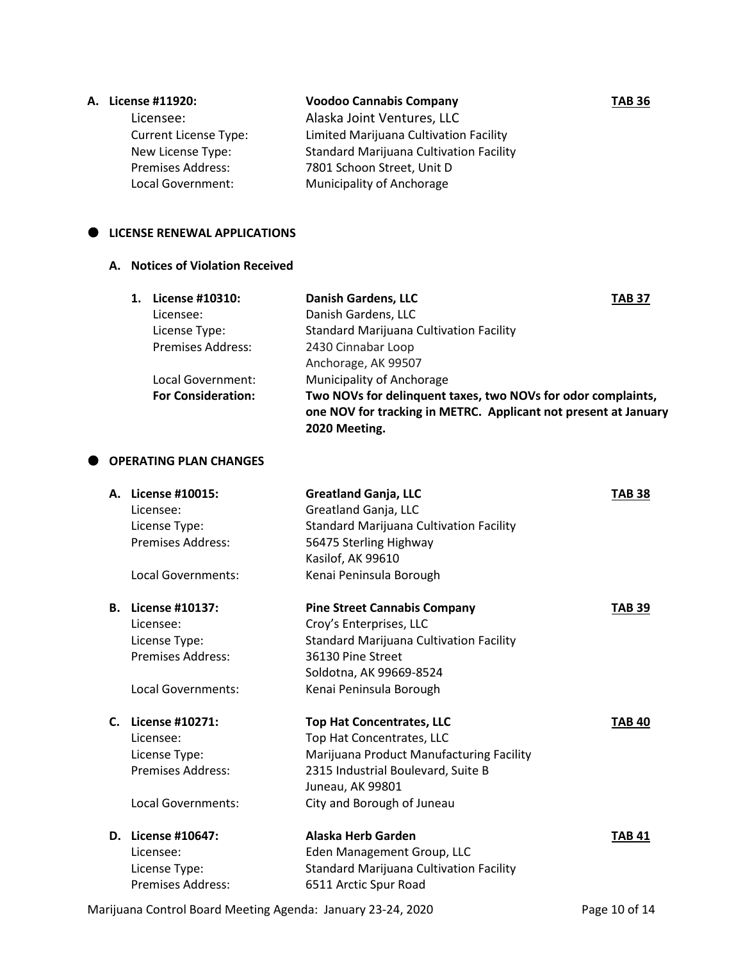### **A. License #11920: Voodoo Cannabis Company TAB 36**

Licensee: Alaska Joint Ventures, LLC Current License Type: Limited Marijuana Cultivation Facility New License Type: Standard Marijuana Cultivation Facility Premises Address: 7801 Schoon Street, Unit D Local Government: Municipality of Anchorage

### $\bullet$  LICENSE RENEWAL APPLICATIONS

### **A. Notices of Violation Received**

| 1. | License #10310:           | <b>Danish Gardens, LLC</b><br><b>TAB 37</b>                                                                                                      |
|----|---------------------------|--------------------------------------------------------------------------------------------------------------------------------------------------|
|    | Licensee:                 | Danish Gardens, LLC                                                                                                                              |
|    | License Type:             | <b>Standard Marijuana Cultivation Facility</b>                                                                                                   |
|    | <b>Premises Address:</b>  | 2430 Cinnabar Loop                                                                                                                               |
|    |                           | Anchorage, AK 99507                                                                                                                              |
|    | Local Government:         | <b>Municipality of Anchorage</b>                                                                                                                 |
|    | <b>For Consideration:</b> | Two NOVs for delinquent taxes, two NOVs for odor complaints,<br>one NOV for tracking in METRC. Applicant not present at January<br>2020 Meeting. |

### **OPERATING PLAN CHANGES**

| А. | License #10015:<br>Licensee:<br>License Type: | <b>Greatland Ganja, LLC</b><br>Greatland Ganja, LLC<br><b>Standard Marijuana Cultivation Facility</b> | <b>TAB 38</b> |
|----|-----------------------------------------------|-------------------------------------------------------------------------------------------------------|---------------|
|    | <b>Premises Address:</b>                      | 56475 Sterling Highway                                                                                |               |
|    |                                               | Kasilof, AK 99610                                                                                     |               |
|    | Local Governments:                            | Kenai Peninsula Borough                                                                               |               |
| В. | License #10137:                               | <b>Pine Street Cannabis Company</b>                                                                   | <b>TAB 39</b> |
|    | Licensee:                                     | Croy's Enterprises, LLC                                                                               |               |
|    | License Type:                                 | Standard Marijuana Cultivation Facility                                                               |               |
|    | <b>Premises Address:</b>                      | 36130 Pine Street                                                                                     |               |
|    |                                               | Soldotna, AK 99669-8524                                                                               |               |
|    | Local Governments:                            | Kenai Peninsula Borough                                                                               |               |
| C. | License #10271:                               | <b>Top Hat Concentrates, LLC</b>                                                                      | <b>TAB 40</b> |
|    | Licensee:                                     | Top Hat Concentrates, LLC                                                                             |               |
|    | License Type:                                 | Marijuana Product Manufacturing Facility                                                              |               |
|    | Premises Address:                             | 2315 Industrial Boulevard, Suite B                                                                    |               |
|    |                                               | Juneau, AK 99801                                                                                      |               |
|    | Local Governments:                            | City and Borough of Juneau                                                                            |               |
|    | D. License #10647:                            | Alaska Herb Garden                                                                                    | TAB 41        |
|    | Licensee:                                     | Eden Management Group, LLC                                                                            |               |
|    | License Type:                                 | Standard Marijuana Cultivation Facility                                                               |               |
|    | <b>Premises Address:</b>                      | 6511 Arctic Spur Road                                                                                 |               |

Marijuana Control Board Meeting Agenda: January 23-24, 2020 Page 10 of 14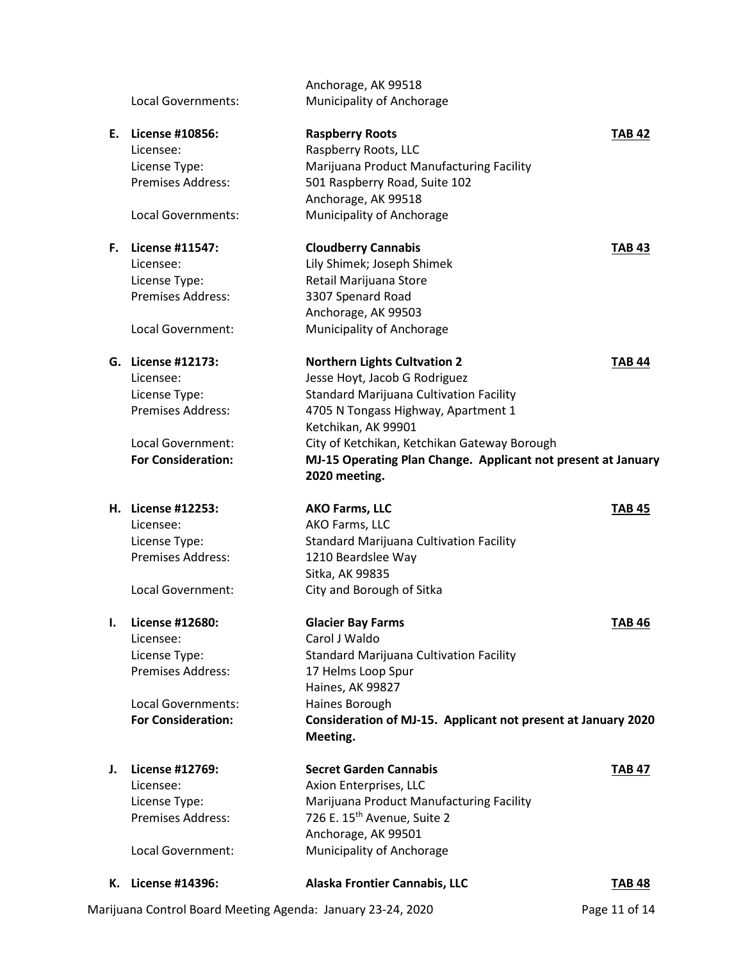|    | K. License #14396:        | Alaska Frontier Cannabis, LLC                                                  | <b>TAB 48</b> |
|----|---------------------------|--------------------------------------------------------------------------------|---------------|
|    | Local Government:         | Municipality of Anchorage                                                      |               |
|    | Premises Address:         | 726 E. 15 <sup>th</sup> Avenue, Suite 2<br>Anchorage, AK 99501                 |               |
|    | License Type:             | Marijuana Product Manufacturing Facility                                       |               |
|    | Licensee:                 | Axion Enterprises, LLC                                                         |               |
| J. | <b>License #12769:</b>    | <b>Secret Garden Cannabis</b>                                                  | <b>TAB 47</b> |
|    |                           | Meeting.                                                                       |               |
|    | <b>For Consideration:</b> | Consideration of MJ-15. Applicant not present at January 2020                  |               |
|    | Local Governments:        | Haines Borough                                                                 |               |
|    |                           | Haines, AK 99827                                                               |               |
|    | Premises Address:         | 17 Helms Loop Spur                                                             |               |
|    | License Type:             | <b>Standard Marijuana Cultivation Facility</b>                                 |               |
|    | Licensee:                 | Carol J Waldo                                                                  |               |
| ı. | License #12680:           | <b>Glacier Bay Farms</b>                                                       | <b>TAB 46</b> |
|    | Local Government:         | City and Borough of Sitka                                                      |               |
|    |                           | Sitka, AK 99835                                                                |               |
|    | <b>Premises Address:</b>  | 1210 Beardslee Way                                                             |               |
|    | License Type:             | <b>Standard Marijuana Cultivation Facility</b>                                 |               |
|    | Licensee:                 | AKO Farms, LLC                                                                 |               |
|    | H. License #12253:        | <b>AKO Farms, LLC</b>                                                          | <b>TAB 45</b> |
|    | <b>For Consideration:</b> | MJ-15 Operating Plan Change. Applicant not present at January<br>2020 meeting. |               |
|    | Local Government:         | City of Ketchikan, Ketchikan Gateway Borough                                   |               |
|    |                           | Ketchikan, AK 99901                                                            |               |
|    | <b>Premises Address:</b>  | 4705 N Tongass Highway, Apartment 1                                            |               |
|    | License Type:             | <b>Standard Marijuana Cultivation Facility</b>                                 |               |
|    | Licensee:                 | Jesse Hoyt, Jacob G Rodriguez                                                  |               |
|    | G. License #12173:        | <b>Northern Lights Cultvation 2</b>                                            | <b>TAB 44</b> |
|    | Local Government:         | Municipality of Anchorage                                                      |               |
|    |                           | Anchorage, AK 99503                                                            |               |
|    | Premises Address:         | 3307 Spenard Road                                                              |               |
|    | License Type:             | Retail Marijuana Store                                                         |               |
|    | Licensee:                 | Lily Shimek; Joseph Shimek                                                     |               |
| F. | License #11547:           | <b>Cloudberry Cannabis</b>                                                     | <b>TAB 43</b> |
|    | Local Governments:        | Municipality of Anchorage                                                      |               |
|    |                           | Anchorage, AK 99518                                                            |               |
|    | Premises Address:         | 501 Raspberry Road, Suite 102                                                  |               |
|    | License Type:             | Marijuana Product Manufacturing Facility                                       |               |
|    | Licensee:                 | Raspberry Roots, LLC                                                           |               |
|    | E. License #10856:        | <b>Raspberry Roots</b>                                                         | <b>TAB 42</b> |
|    | Local Governments:        | Municipality of Anchorage                                                      |               |
|    |                           | Anchorage, AK 99518                                                            |               |
|    |                           |                                                                                |               |

Marijuana Control Board Meeting Agenda: January 23-24, 2020 Page 11 of 14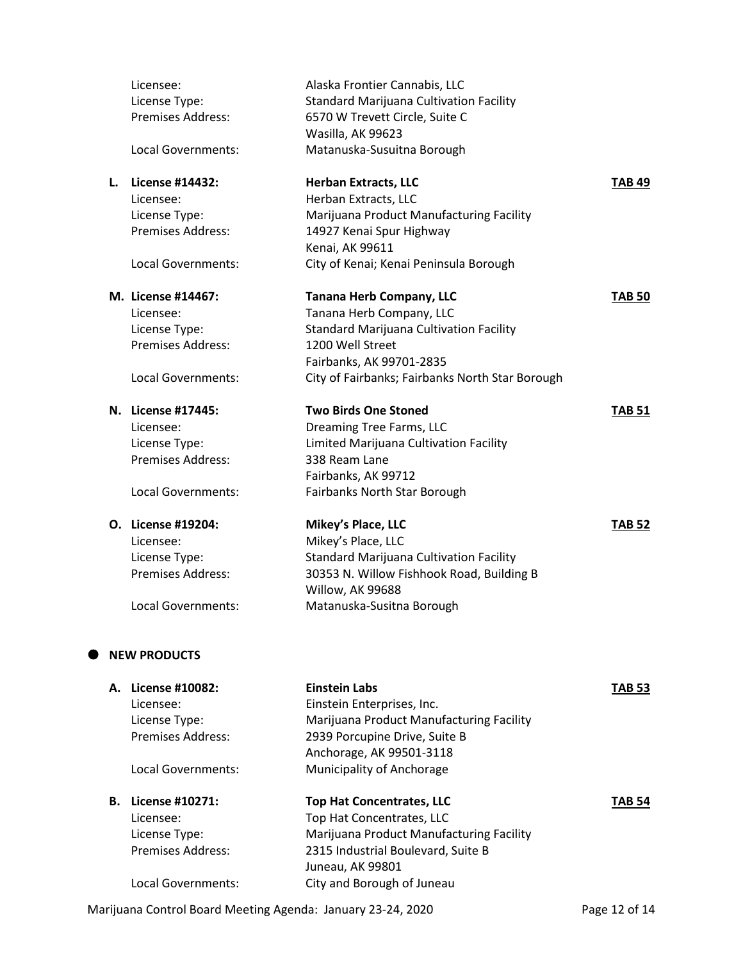|    | Licensee:<br>License Type: | Alaska Frontier Cannabis, LLC<br><b>Standard Marijuana Cultivation Facility</b> |               |
|----|----------------------------|---------------------------------------------------------------------------------|---------------|
|    | <b>Premises Address:</b>   | 6570 W Trevett Circle, Suite C<br>Wasilla, AK 99623                             |               |
|    | <b>Local Governments:</b>  | Matanuska-Susuitna Borough                                                      |               |
| L. | <b>License #14432:</b>     | <b>Herban Extracts, LLC</b>                                                     | <b>TAB 49</b> |
|    | Licensee:                  | Herban Extracts, LLC                                                            |               |
|    | License Type:              | Marijuana Product Manufacturing Facility                                        |               |
|    | <b>Premises Address:</b>   | 14927 Kenai Spur Highway                                                        |               |
|    | Local Governments:         | Kenai, AK 99611<br>City of Kenai; Kenai Peninsula Borough                       |               |
|    | M. License #14467:         | <b>Tanana Herb Company, LLC</b>                                                 | <b>TAB 50</b> |
|    | Licensee:                  | Tanana Herb Company, LLC                                                        |               |
|    | License Type:              | <b>Standard Marijuana Cultivation Facility</b>                                  |               |
|    | Premises Address:          | 1200 Well Street                                                                |               |
|    |                            | Fairbanks, AK 99701-2835                                                        |               |
|    | Local Governments:         | City of Fairbanks; Fairbanks North Star Borough                                 |               |
|    | N. License #17445:         | <b>Two Birds One Stoned</b>                                                     | <b>TAB 51</b> |
|    | Licensee:                  | Dreaming Tree Farms, LLC                                                        |               |
|    | License Type:              | Limited Marijuana Cultivation Facility                                          |               |
|    | <b>Premises Address:</b>   | 338 Ream Lane                                                                   |               |
|    |                            | Fairbanks, AK 99712                                                             |               |
|    | Local Governments:         | Fairbanks North Star Borough                                                    |               |
|    | O. License #19204:         | Mikey's Place, LLC                                                              | <b>TAB 52</b> |
|    | Licensee:                  | Mikey's Place, LLC                                                              |               |
|    | License Type:              | <b>Standard Marijuana Cultivation Facility</b>                                  |               |
|    | <b>Premises Address:</b>   | 30353 N. Willow Fishhook Road, Building B                                       |               |
|    |                            | Willow, AK 99688                                                                |               |
|    | <b>Local Governments:</b>  | Matanuska-Susitna Borough                                                       |               |
|    | <b>NEW PRODUCTS</b>        |                                                                                 |               |
|    | A. License #10082:         | <b>Einstein Labs</b>                                                            | <b>TAB 53</b> |
|    | Licensee:                  | Einstein Enterprises, Inc.                                                      |               |
|    | License Type:              | Marijuana Product Manufacturing Facility                                        |               |
|    | <b>Premises Address:</b>   | 2939 Porcupine Drive, Suite B                                                   |               |
|    |                            | Anchorage, AK 99501-3118                                                        |               |
|    | Local Governments:         | Municipality of Anchorage                                                       |               |
|    | <b>B.</b> License #10271:  | <b>Top Hat Concentrates, LLC</b>                                                | TAB 54        |
|    | Licensee:                  | Top Hat Concentrates, LLC                                                       |               |
|    | License Type:              | Marijuana Product Manufacturing Facility                                        |               |
|    | <b>Premises Address:</b>   | 2315 Industrial Boulevard, Suite B                                              |               |
|    |                            | Juneau, AK 99801                                                                |               |
|    | Local Governments:         | City and Borough of Juneau                                                      |               |

Marijuana Control Board Meeting Agenda: January 23-24, 2020 Page 12 of 14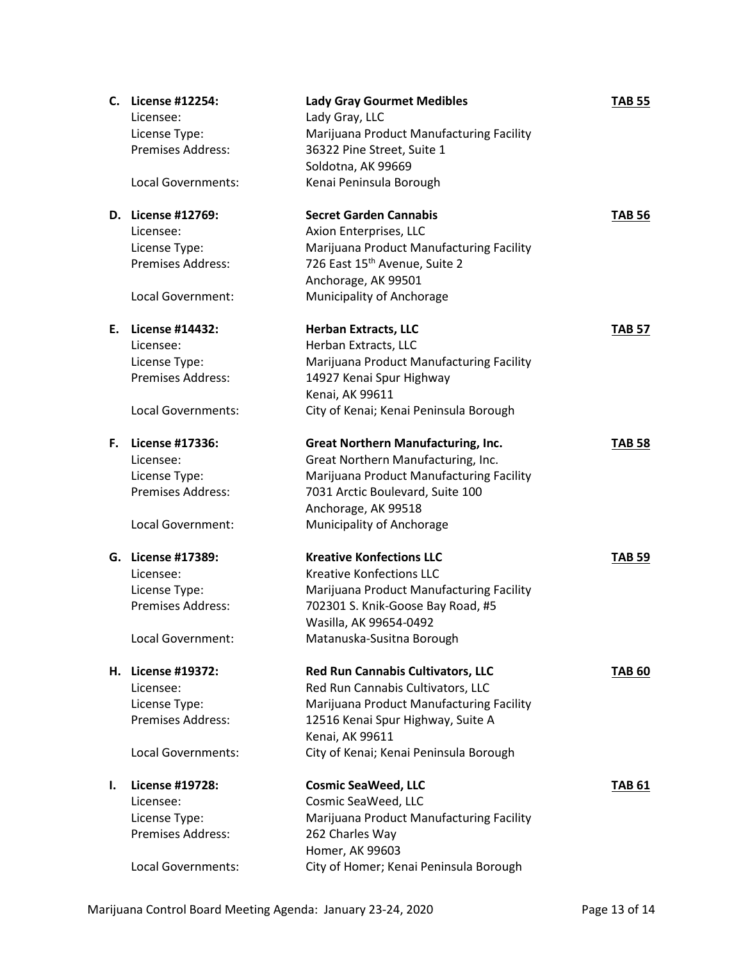|    | C. License #12254:       | <b>Lady Gray Gourmet Medibles</b>         | <b>TAB 55</b> |
|----|--------------------------|-------------------------------------------|---------------|
|    | Licensee:                | Lady Gray, LLC                            |               |
|    | License Type:            | Marijuana Product Manufacturing Facility  |               |
|    | Premises Address:        | 36322 Pine Street, Suite 1                |               |
|    |                          | Soldotna, AK 99669                        |               |
|    | Local Governments:       | Kenai Peninsula Borough                   |               |
|    |                          |                                           |               |
|    | D. License #12769:       | <b>Secret Garden Cannabis</b>             | <b>TAB 56</b> |
|    | Licensee:                | Axion Enterprises, LLC                    |               |
|    | License Type:            | Marijuana Product Manufacturing Facility  |               |
|    | <b>Premises Address:</b> | 726 East 15 <sup>th</sup> Avenue, Suite 2 |               |
|    |                          | Anchorage, AK 99501                       |               |
|    | Local Government:        | Municipality of Anchorage                 |               |
|    |                          |                                           |               |
|    | E. License #14432:       | <b>Herban Extracts, LLC</b>               | <b>TAB 57</b> |
|    | Licensee:                | Herban Extracts, LLC                      |               |
|    | License Type:            | Marijuana Product Manufacturing Facility  |               |
|    | Premises Address:        | 14927 Kenai Spur Highway                  |               |
|    |                          | Kenai, AK 99611                           |               |
|    | Local Governments:       | City of Kenai; Kenai Peninsula Borough    |               |
|    |                          |                                           |               |
|    | F. License #17336:       | <b>Great Northern Manufacturing, Inc.</b> | <b>TAB 58</b> |
|    | Licensee:                | Great Northern Manufacturing, Inc.        |               |
|    | License Type:            | Marijuana Product Manufacturing Facility  |               |
|    | <b>Premises Address:</b> | 7031 Arctic Boulevard, Suite 100          |               |
|    |                          | Anchorage, AK 99518                       |               |
|    | Local Government:        | Municipality of Anchorage                 |               |
|    |                          |                                           |               |
|    | G. License #17389:       | <b>Kreative Konfections LLC</b>           | <b>TAB 59</b> |
|    | Licensee:                | <b>Kreative Konfections LLC</b>           |               |
|    | License Type:            | Marijuana Product Manufacturing Facility  |               |
|    | <b>Premises Address:</b> | 702301 S. Knik-Goose Bay Road, #5         |               |
|    |                          | Wasilla, AK 99654-0492                    |               |
|    | Local Government:        | Matanuska-Susitna Borough                 |               |
|    |                          |                                           |               |
|    | H. License #19372:       | Red Run Cannabis Cultivators, LLC         | <b>TAB 60</b> |
|    | Licensee:                | Red Run Cannabis Cultivators, LLC         |               |
|    | License Type:            | Marijuana Product Manufacturing Facility  |               |
|    | <b>Premises Address:</b> | 12516 Kenai Spur Highway, Suite A         |               |
|    |                          | Kenai, AK 99611                           |               |
|    | Local Governments:       | City of Kenai; Kenai Peninsula Borough    |               |
|    |                          |                                           |               |
| ı. | <b>License #19728:</b>   | <b>Cosmic SeaWeed, LLC</b>                | <b>TAB 61</b> |
|    | Licensee:                | Cosmic SeaWeed, LLC                       |               |
|    | License Type:            | Marijuana Product Manufacturing Facility  |               |
|    | <b>Premises Address:</b> | 262 Charles Way                           |               |
|    |                          | Homer, AK 99603                           |               |
|    | Local Governments:       | City of Homer; Kenai Peninsula Borough    |               |
|    |                          |                                           |               |

Marijuana Control Board Meeting Agenda: January 23-24, 2020 Page 13 of 14